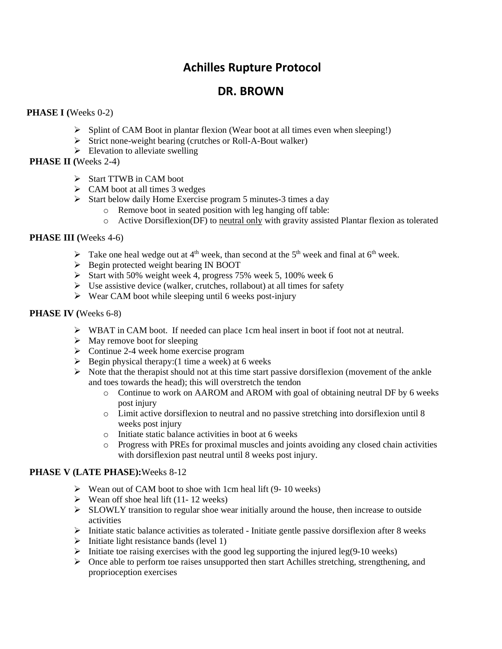# **Achilles Rupture Protocol**

# **DR. BROWN**

## **PHASE I (**Weeks 0-2)

- ➢ Splint of CAM Boot in plantar flexion (Wear boot at all times even when sleeping!)
- ➢ Strict none-weight bearing (crutches or Roll-A-Bout walker)
- $\triangleright$  Elevation to alleviate swelling

## **PHASE II (**Weeks 2-4)

- ➢ Start TTWB in CAM boot
- $\triangleright$  CAM boot at all times 3 wedges
- ➢ Start below daily Home Exercise program 5 minutes-3 times a day
	- o Remove boot in seated position with leg hanging off table:
		- o Active Dorsiflexion(DF) to neutral only with gravity assisted Plantar flexion as tolerated

#### **PHASE III (**Weeks 4-6)

- $\triangleright$  Take one heal wedge out at 4<sup>th</sup> week, than second at the 5<sup>th</sup> week and final at 6<sup>th</sup> week.
- ➢ Begin protected weight bearing IN BOOT
- ➢ Start with 50% weight week 4, progress 75% week 5, 100% week 6
- $\triangleright$  Use assistive device (walker, crutches, rollabout) at all times for safety
- $\triangleright$  Wear CAM boot while sleeping until 6 weeks post-injury

#### **PHASE IV (**Weeks 6-8)

- $\triangleright$  WBAT in CAM boot. If needed can place 1cm heal insert in boot if foot not at neutral.
- $\triangleright$  May remove boot for sleeping
- ➢ Continue 2-4 week home exercise program
- $\triangleright$  Begin physical therapy: (1 time a week) at 6 weeks
- $\triangleright$  Note that the therapist should not at this time start passive dorsiflexion (movement of the ankle and toes towards the head); this will overstretch the tendon
	- o Continue to work on AAROM and AROM with goal of obtaining neutral DF by 6 weeks post injury
	- o Limit active dorsiflexion to neutral and no passive stretching into dorsiflexion until 8 weeks post injury
	- o Initiate static balance activities in boot at 6 weeks
	- o Progress with PREs for proximal muscles and joints avoiding any closed chain activities with dorsiflexion past neutral until 8 weeks post injury.

## **PHASE V (LATE PHASE):**Weeks 8-12

- ➢ Wean out of CAM boot to shoe with 1cm heal lift (9- 10 weeks)
- $\triangleright$  Wean off shoe heal lift (11-12 weeks)
- $\triangleright$  SLOWLY transition to regular shoe wear initially around the house, then increase to outside activities
- $\triangleright$  Initiate static balance activities as tolerated Initiate gentle passive dorsiflexion after 8 weeks
- $\triangleright$  Initiate light resistance bands (level 1)
- $\triangleright$  Initiate toe raising exercises with the good leg supporting the injured leg(9-10 weeks)
- $\triangleright$  Once able to perform toe raises unsupported then start Achilles stretching, strengthening, and proprioception exercises